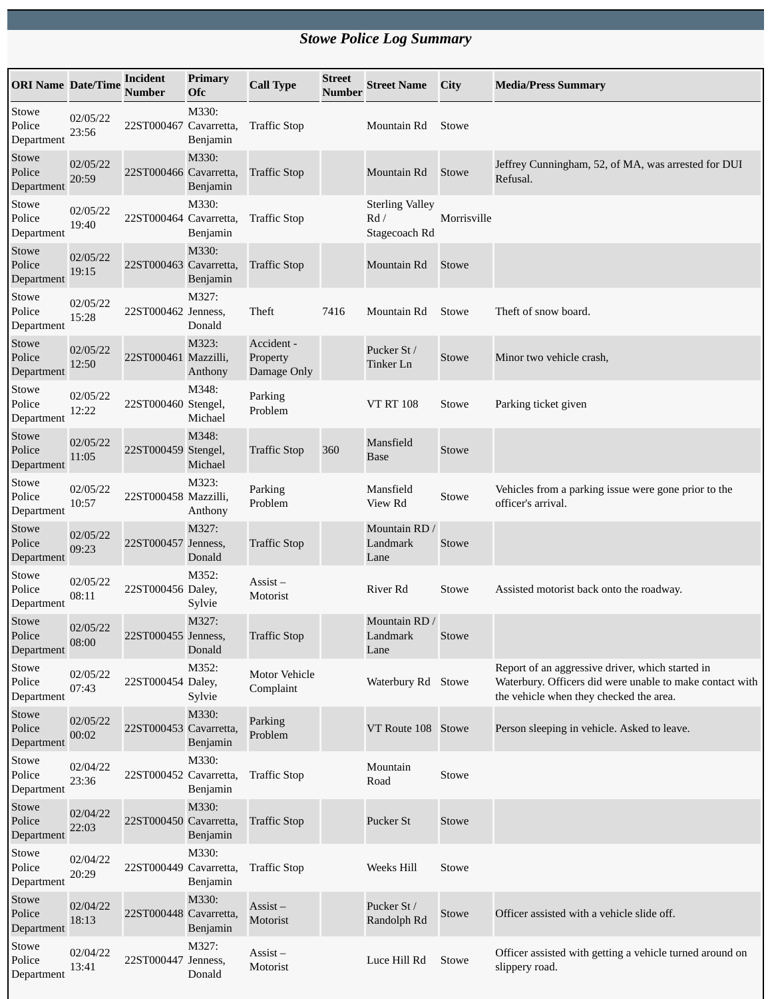## *Stowe Police Log Summary*

| <b>ORI Name Date/Time</b>     |                   | Incident<br><b>Number</b> | <b>Primary</b><br><b>Ofc</b> | <b>Call Type</b>                      | <b>Street</b><br><b>Number</b> | <b>Street Name</b>                             | City         | <b>Media/Press Summary</b>                                                                                                                              |
|-------------------------------|-------------------|---------------------------|------------------------------|---------------------------------------|--------------------------------|------------------------------------------------|--------------|---------------------------------------------------------------------------------------------------------------------------------------------------------|
| Stowe<br>Police<br>Department | 02/05/22<br>23:56 | 22ST000467 Cavarretta,    | M330:<br>Benjamin            | <b>Traffic Stop</b>                   |                                | Mountain Rd                                    | <b>Stowe</b> |                                                                                                                                                         |
| Stowe<br>Police<br>Department | 02/05/22<br>20:59 | 22ST000466 Cavarretta,    | M330:<br>Benjamin            | <b>Traffic Stop</b>                   |                                | Mountain Rd                                    | Stowe        | Jeffrey Cunningham, 52, of MA, was arrested for DUI<br>Refusal.                                                                                         |
| Stowe<br>Police<br>Department | 02/05/22<br>19:40 | 22ST000464 Cavarretta,    | M330:<br>Benjamin            | <b>Traffic Stop</b>                   |                                | <b>Sterling Valley</b><br>Rd/<br>Stagecoach Rd | Morrisville  |                                                                                                                                                         |
| Stowe<br>Police<br>Department | 02/05/22<br>19:15 | 22ST000463 Cavarretta,    | M330:<br>Benjamin            | <b>Traffic Stop</b>                   |                                | Mountain Rd                                    | Stowe        |                                                                                                                                                         |
| Stowe<br>Police<br>Department | 02/05/22<br>15:28 | 22ST000462 Jenness,       | M327:<br>Donald              | Theft                                 | 7416                           | Mountain Rd                                    | Stowe        | Theft of snow board.                                                                                                                                    |
| Stowe<br>Police<br>Department | 02/05/22<br>12:50 | 22ST000461 Mazzilli,      | M323:<br>Anthony             | Accident -<br>Property<br>Damage Only |                                | Pucker St /<br>Tinker Ln                       | Stowe        | Minor two vehicle crash,                                                                                                                                |
| Stowe<br>Police<br>Department | 02/05/22<br>12:22 | 22ST000460 Stengel,       | M348:<br>Michael             | Parking<br>Problem                    |                                | <b>VT RT 108</b>                               | Stowe        | Parking ticket given                                                                                                                                    |
| Stowe<br>Police<br>Department | 02/05/22<br>11:05 | 22ST000459 Stengel,       | M348:<br>Michael             | <b>Traffic Stop</b>                   | 360                            | Mansfield<br><b>Base</b>                       | Stowe        |                                                                                                                                                         |
| Stowe<br>Police<br>Department | 02/05/22<br>10:57 | 22ST000458 Mazzilli,      | M323:<br>Anthony             | Parking<br>Problem                    |                                | Mansfield<br>View Rd                           | Stowe        | Vehicles from a parking issue were gone prior to the<br>officer's arrival.                                                                              |
| Stowe<br>Police<br>Department | 02/05/22<br>09:23 | 22ST000457 Jenness,       | M327:<br>Donald              | <b>Traffic Stop</b>                   |                                | Mountain RD /<br>Landmark<br>Lane              | Stowe        |                                                                                                                                                         |
| Stowe<br>Police<br>Department | 02/05/22<br>08:11 | 22ST000456 Daley,         | M352:<br>Sylvie              | $\overline{A}$ ssist –<br>Motorist    |                                | River Rd                                       | Stowe        | Assisted motorist back onto the roadway.                                                                                                                |
| Stowe<br>Police<br>Department | 02/05/22<br>08:00 | 22ST000455 Jenness,       | M327:<br>Donald              | <b>Traffic Stop</b>                   |                                | Mountain RD/<br>Landmark<br>Lane               | Stowe        |                                                                                                                                                         |
| Stowe<br>Police<br>Department | 02/05/22<br>07:43 | 22ST000454 Daley,         | M352:<br>Sylvie              | <b>Motor Vehicle</b><br>Complaint     |                                | Waterbury Rd Stowe                             |              | Report of an aggressive driver, which started in<br>Waterbury. Officers did were unable to make contact with<br>the vehicle when they checked the area. |
| Stowe<br>Police<br>Department | 02/05/22<br>00:02 | 22ST000453 Cavarretta,    | M330:<br>Benjamin            | Parking<br>Problem                    |                                | VT Route 108 Stowe                             |              | Person sleeping in vehicle. Asked to leave.                                                                                                             |
| Stowe<br>Police<br>Department | 02/04/22<br>23:36 | 22ST000452 Cavarretta,    | M330:<br>Benjamin            | <b>Traffic Stop</b>                   |                                | Mountain<br>Road                               | Stowe        |                                                                                                                                                         |
| Stowe<br>Police<br>Department | 02/04/22<br>22:03 | 22ST000450 Cavarretta,    | M330:<br>Benjamin            | <b>Traffic Stop</b>                   |                                | Pucker St                                      | Stowe        |                                                                                                                                                         |
| Stowe<br>Police<br>Department | 02/04/22<br>20:29 | 22ST000449 Cavarretta,    | M330:<br>Benjamin            | <b>Traffic Stop</b>                   |                                | Weeks Hill                                     | Stowe        |                                                                                                                                                         |
| Stowe<br>Police<br>Department | 02/04/22<br>18:13 | 22ST000448 Cavarretta,    | M330:<br>Benjamin            | Assist-<br>Motorist                   |                                | Pucker St /<br>Randolph Rd                     | Stowe        | Officer assisted with a vehicle slide off.                                                                                                              |
| Stowe<br>Police<br>Department | 02/04/22<br>13:41 | 22ST000447 Jenness,       | M327:<br>Donald              | Assist-<br>Motorist                   |                                | Luce Hill Rd                                   | Stowe        | Officer assisted with getting a vehicle turned around on<br>slippery road.                                                                              |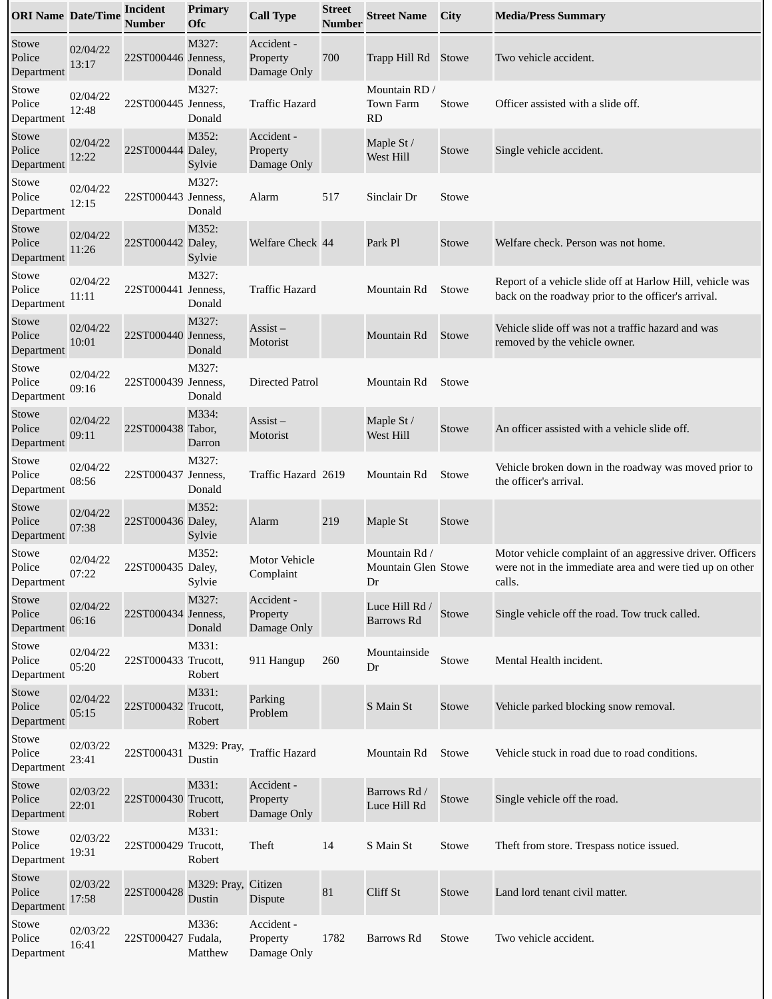| <b>ORI Name Date/Time</b>     |                   | <b>Incident</b><br>Number | Primary<br><b>Ofc</b>         | <b>Call Type</b>                      | <b>Street</b><br><b>Number</b> | <b>Street Name</b>                         | City         | <b>Media/Press Summary</b>                                                                                                      |
|-------------------------------|-------------------|---------------------------|-------------------------------|---------------------------------------|--------------------------------|--------------------------------------------|--------------|---------------------------------------------------------------------------------------------------------------------------------|
| Stowe<br>Police<br>Department | 02/04/22<br>13:17 | 22ST000446 Jenness,       | M327:<br>Donald               | Accident -<br>Property<br>Damage Only | 700                            | Trapp Hill Rd                              | Stowe        | Two vehicle accident.                                                                                                           |
| Stowe<br>Police<br>Department | 02/04/22<br>12:48 | 22ST000445 Jenness,       | M327:<br>Donald               | <b>Traffic Hazard</b>                 |                                | Mountain RD /<br>Town Farm<br><b>RD</b>    | Stowe        | Officer assisted with a slide off.                                                                                              |
| Stowe<br>Police<br>Department | 02/04/22<br>12:22 | 22ST000444 Daley,         | M352:<br>Sylvie               | Accident -<br>Property<br>Damage Only |                                | Maple St /<br>West Hill                    | Stowe        | Single vehicle accident.                                                                                                        |
| Stowe<br>Police<br>Department | 02/04/22<br>12:15 | 22ST000443 Jenness,       | M327:<br>Donald               | Alarm                                 | 517                            | Sinclair Dr                                | Stowe        |                                                                                                                                 |
| Stowe<br>Police<br>Department | 02/04/22<br>11:26 | 22ST000442 Daley,         | M352:<br>Sylvie               | Welfare Check 44                      |                                | Park Pl                                    | Stowe        | Welfare check. Person was not home.                                                                                             |
| Stowe<br>Police<br>Department | 02/04/22<br>11:11 | 22ST000441 Jenness,       | M327:<br>Donald               | <b>Traffic Hazard</b>                 |                                | Mountain Rd                                | Stowe        | Report of a vehicle slide off at Harlow Hill, vehicle was<br>back on the roadway prior to the officer's arrival.                |
| Stowe<br>Police<br>Department | 02/04/22<br>10:01 | 22ST000440 Jenness,       | M327:<br>Donald               | $\overline{A}$ ssist –<br>Motorist    |                                | Mountain Rd                                | Stowe        | Vehicle slide off was not a traffic hazard and was<br>removed by the vehicle owner.                                             |
| Stowe<br>Police<br>Department | 02/04/22<br>09:16 | 22ST000439 Jenness,       | M327:<br>Donald               | <b>Directed Patrol</b>                |                                | Mountain Rd                                | <b>Stowe</b> |                                                                                                                                 |
| Stowe<br>Police<br>Department | 02/04/22<br>09:11 | 22ST000438 Tabor,         | M334:<br>Darron               | $\overline{A}$ ssist –<br>Motorist    |                                | Maple St /<br>West Hill                    | Stowe        | An officer assisted with a vehicle slide off.                                                                                   |
| Stowe<br>Police<br>Department | 02/04/22<br>08:56 | 22ST000437 Jenness,       | M327:<br>Donald               | Traffic Hazard 2619                   |                                | Mountain Rd                                | Stowe        | Vehicle broken down in the roadway was moved prior to<br>the officer's arrival.                                                 |
| Stowe<br>Police<br>Department | 02/04/22<br>07:38 | 22ST000436 Daley,         | M352:<br>Sylvie               | Alarm                                 | 219                            | Maple St                                   | Stowe        |                                                                                                                                 |
| Stowe<br>Police<br>Department | 02/04/22<br>07:22 | 22ST000435 Daley,         | M352:<br>Sylvie               | <b>Motor Vehicle</b><br>Complaint     |                                | Mountain Rd /<br>Mountain Glen Stowe<br>Dr |              | Motor vehicle complaint of an aggressive driver. Officers<br>were not in the immediate area and were tied up on other<br>calls. |
| Stowe<br>Police<br>Department | 02/04/22<br>06:16 | 22ST000434 Jenness,       | M327:<br>Donald               | Accident -<br>Property<br>Damage Only |                                | Luce Hill Rd /<br><b>Barrows Rd</b>        | Stowe        | Single vehicle off the road. Tow truck called.                                                                                  |
| Stowe<br>Police<br>Department | 02/04/22<br>05:20 | 22ST000433 Trucott,       | M331:<br>Robert               | 911 Hangup                            | 260                            | Mountainside<br>Dr                         | Stowe        | Mental Health incident.                                                                                                         |
| Stowe<br>Police<br>Department | 02/04/22<br>05:15 | 22ST000432 Trucott,       | M331:<br>Robert               | Parking<br>Problem                    |                                | S Main St                                  | Stowe        | Vehicle parked blocking snow removal.                                                                                           |
| Stowe<br>Police<br>Department | 02/03/22<br>23:41 | 22ST000431                | M329: Pray,<br>Dustin         | <b>Traffic Hazard</b>                 |                                | Mountain Rd                                | Stowe        | Vehicle stuck in road due to road conditions.                                                                                   |
| Stowe<br>Police<br>Department | 02/03/22<br>22:01 | 22ST000430 Trucott,       | M331:<br>Robert               | Accident -<br>Property<br>Damage Only |                                | Barrows Rd /<br>Luce Hill Rd               | Stowe        | Single vehicle off the road.                                                                                                    |
| Stowe<br>Police<br>Department | 02/03/22<br>19:31 | 22ST000429 Trucott,       | M331:<br>Robert               | Theft                                 | 14                             | S Main St                                  | Stowe        | Theft from store. Trespass notice issued.                                                                                       |
| Stowe<br>Police<br>Department | 02/03/22<br>17:58 | 22ST000428                | M329: Pray, Citizen<br>Dustin | Dispute                               | 81                             | Cliff St                                   | Stowe        | Land lord tenant civil matter.                                                                                                  |
| Stowe<br>Police<br>Department | 02/03/22<br>16:41 | 22ST000427 Fudala,        | M336:<br>Matthew              | Accident -<br>Property<br>Damage Only | 1782                           | Barrows Rd                                 | Stowe        | Two vehicle accident.                                                                                                           |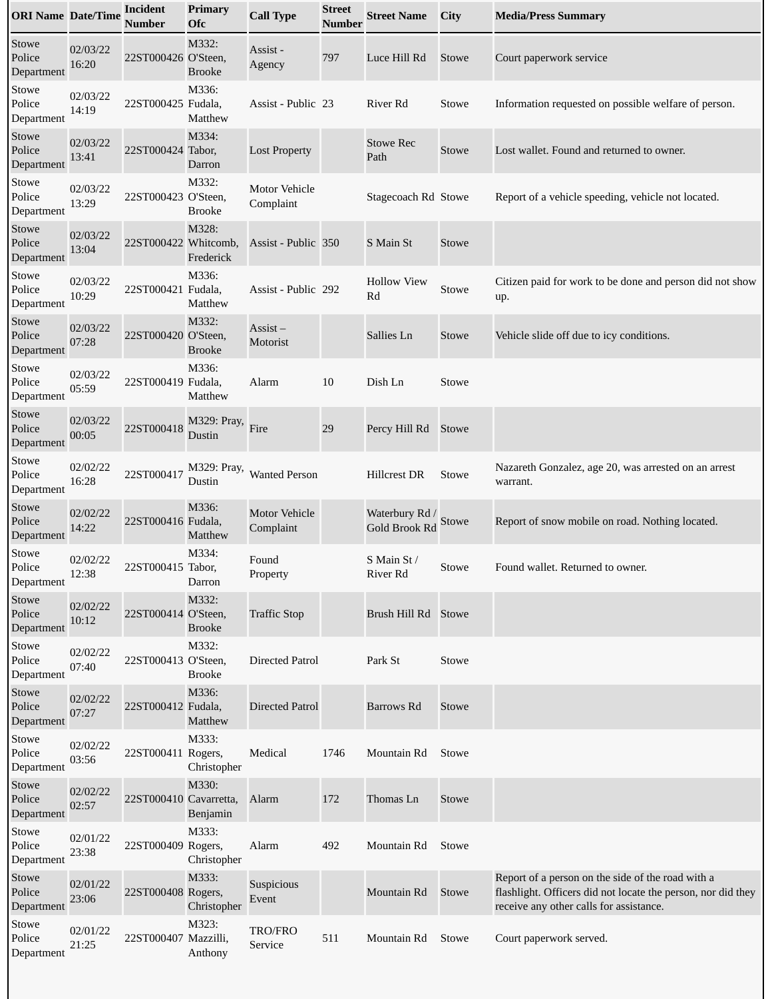| <b>ORI Name Date/Time</b>     |                   | <b>Incident</b><br>Number | Primary<br><b>Ofc</b>  | <b>Call Type</b>                   | <b>Street</b><br><b>Number</b> | <b>Street Name</b>              | <b>City</b>  | <b>Media/Press Summary</b>                                                                                                                                   |
|-------------------------------|-------------------|---------------------------|------------------------|------------------------------------|--------------------------------|---------------------------------|--------------|--------------------------------------------------------------------------------------------------------------------------------------------------------------|
| Stowe<br>Police<br>Department | 02/03/22<br>16:20 | 22ST000426 O'Steen,       | M332:<br><b>Brooke</b> | Assist -<br>Agency                 | 797                            | Luce Hill Rd                    | Stowe        | Court paperwork service                                                                                                                                      |
| Stowe<br>Police<br>Department | 02/03/22<br>14:19 | 22ST000425 Fudala,        | M336:<br>Matthew       | Assist - Public 23                 |                                | River Rd                        | Stowe        | Information requested on possible welfare of person.                                                                                                         |
| Stowe<br>Police<br>Department | 02/03/22<br>13:41 | 22ST000424 Tabor,         | M334:<br>Darron        | <b>Lost Property</b>               |                                | <b>Stowe Rec</b><br>Path        | Stowe        | Lost wallet. Found and returned to owner.                                                                                                                    |
| Stowe<br>Police<br>Department | 02/03/22<br>13:29 | 22ST000423 O'Steen,       | M332:<br><b>Brooke</b> | <b>Motor Vehicle</b><br>Complaint  |                                | Stagecoach Rd Stowe             |              | Report of a vehicle speeding, vehicle not located.                                                                                                           |
| Stowe<br>Police<br>Department | 02/03/22<br>13:04 | 22ST000422 Whitcomb,      | M328:<br>Frederick     | Assist - Public 350                |                                | S Main St                       | Stowe        |                                                                                                                                                              |
| Stowe<br>Police<br>Department | 02/03/22<br>10:29 | 22ST000421 Fudala,        | M336:<br>Matthew       | Assist - Public 292                |                                | <b>Hollow View</b><br>Rd        | Stowe        | Citizen paid for work to be done and person did not show<br>up.                                                                                              |
| Stowe<br>Police<br>Department | 02/03/22<br>07:28 | 22ST000420 O'Steen,       | M332:<br><b>Brooke</b> | $\overline{A}$ ssist –<br>Motorist |                                | Sallies Ln                      | Stowe        | Vehicle slide off due to icy conditions.                                                                                                                     |
| Stowe<br>Police<br>Department | 02/03/22<br>05:59 | 22ST000419 Fudala,        | M336:<br>Matthew       | Alarm                              | 10                             | Dish Ln                         | Stowe        |                                                                                                                                                              |
| Stowe<br>Police<br>Department | 02/03/22<br>00:05 | 22ST000418                | M329: Pray,<br>Dustin  | Fire                               | 29                             | Percy Hill Rd                   | Stowe        |                                                                                                                                                              |
| Stowe<br>Police<br>Department | 02/02/22<br>16:28 | 22ST000417                | M329: Pray,<br>Dustin  | <b>Wanted Person</b>               |                                | <b>Hillcrest DR</b>             | Stowe        | Nazareth Gonzalez, age 20, was arrested on an arrest<br>warrant.                                                                                             |
| Stowe<br>Police<br>Department | 02/02/22<br>14:22 | 22ST000416 Fudala,        | M336:<br>Matthew       | <b>Motor Vehicle</b><br>Complaint  |                                | Waterbury Rd /<br>Gold Brook Rd | <b>Stowe</b> | Report of snow mobile on road. Nothing located.                                                                                                              |
| Stowe<br>Police<br>Department | 02/02/22<br>12:38 | 22ST000415 Tabor,         | M334:<br>Darron        | Found<br>Property                  |                                | S Main St /<br>River Rd         | Stowe        | Found wallet. Returned to owner.                                                                                                                             |
| Stowe<br>Police<br>Department | 02/02/22<br>10:12 | 22ST000414 O'Steen,       | M332:<br><b>Brooke</b> | <b>Traffic Stop</b>                |                                | Brush Hill Rd Stowe             |              |                                                                                                                                                              |
| Stowe<br>Police<br>Department | 02/02/22<br>07:40 | 22ST000413 O'Steen,       | M332:<br><b>Brooke</b> | <b>Directed Patrol</b>             |                                | Park St                         | Stowe        |                                                                                                                                                              |
| Stowe<br>Police<br>Department | 02/02/22<br>07:27 | 22ST000412 Fudala,        | M336:<br>Matthew       | <b>Directed Patrol</b>             |                                | Barrows Rd                      | Stowe        |                                                                                                                                                              |
| Stowe<br>Police<br>Department | 02/02/22<br>03:56 | 22ST000411 Rogers,        | M333:<br>Christopher   | Medical                            | 1746                           | Mountain Rd                     | <b>Stowe</b> |                                                                                                                                                              |
| Stowe<br>Police<br>Department | 02/02/22<br>02:57 | 22ST000410 Cavarretta,    | M330:<br>Benjamin      | Alarm                              | 172                            | Thomas Ln                       | Stowe        |                                                                                                                                                              |
| Stowe<br>Police<br>Department | 02/01/22<br>23:38 | 22ST000409 Rogers,        | M333:<br>Christopher   | Alarm                              | 492                            | Mountain Rd                     | Stowe        |                                                                                                                                                              |
| Stowe<br>Police<br>Department | 02/01/22<br>23:06 | 22ST000408 Rogers,        | M333:<br>Christopher   | Suspicious<br>Event                |                                | Mountain Rd                     | Stowe        | Report of a person on the side of the road with a<br>flashlight. Officers did not locate the person, nor did they<br>receive any other calls for assistance. |
| Stowe<br>Police<br>Department | 02/01/22<br>21:25 | 22ST000407 Mazzilli,      | M323:<br>Anthony       | TRO/FRO<br>Service                 | 511                            | Mountain Rd                     | Stowe        | Court paperwork served.                                                                                                                                      |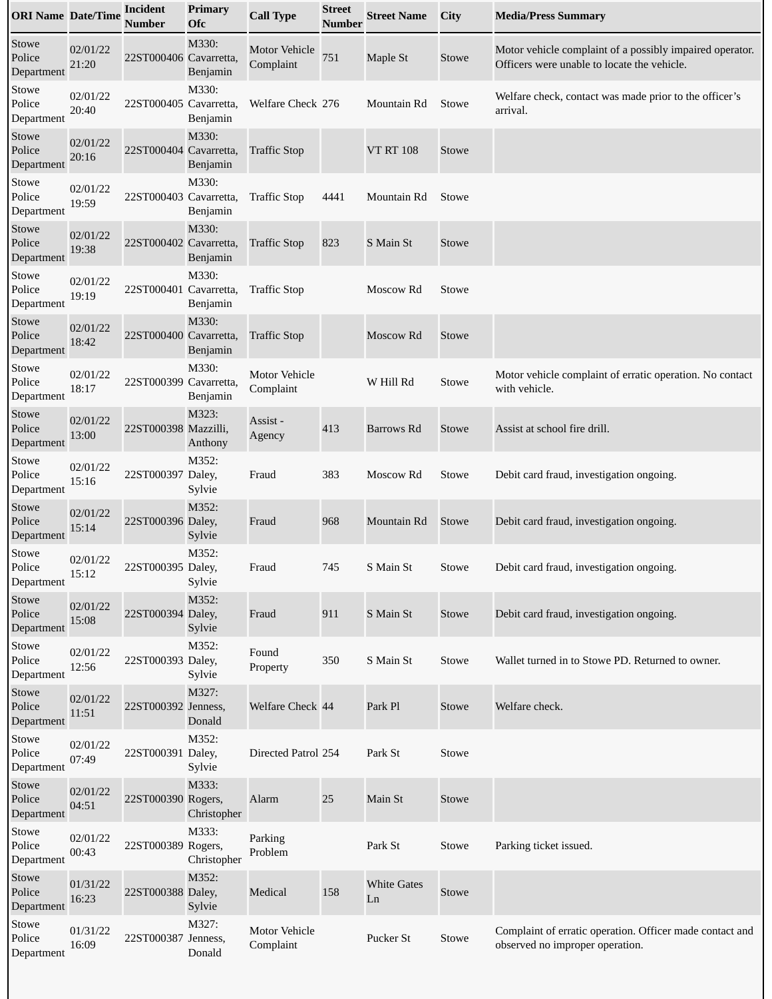| <b>ORI Name Date/Time</b>     |                   | <b>Incident</b><br>Number | <b>Primary</b><br><b>Ofc</b> | <b>Call Type</b>                  | <b>Street</b><br>Number | <b>Street Name</b>       | <b>City</b> | <b>Media/Press Summary</b>                                                                              |
|-------------------------------|-------------------|---------------------------|------------------------------|-----------------------------------|-------------------------|--------------------------|-------------|---------------------------------------------------------------------------------------------------------|
| Stowe<br>Police<br>Department | 02/01/22<br>21:20 | 22ST000406 Cavarretta,    | M330:<br>Benjamin            | <b>Motor Vehicle</b><br>Complaint | 751                     | Maple St                 | Stowe       | Motor vehicle complaint of a possibly impaired operator.<br>Officers were unable to locate the vehicle. |
| Stowe<br>Police<br>Department | 02/01/22<br>20:40 | 22ST000405 Cavarretta,    | M330:<br>Benjamin            | Welfare Check 276                 |                         | Mountain Rd              | Stowe       | Welfare check, contact was made prior to the officer's<br>arrival.                                      |
| Stowe<br>Police<br>Department | 02/01/22<br>20:16 | 22ST000404 Cavarretta,    | M330:<br>Benjamin            | <b>Traffic Stop</b>               |                         | <b>VT RT 108</b>         | Stowe       |                                                                                                         |
| Stowe<br>Police<br>Department | 02/01/22<br>19:59 | 22ST000403 Cavarretta,    | M330:<br>Benjamin            | <b>Traffic Stop</b>               | 4441                    | Mountain Rd              | Stowe       |                                                                                                         |
| Stowe<br>Police<br>Department | 02/01/22<br>19:38 | 22ST000402 Cavarretta,    | M330:<br>Benjamin            | <b>Traffic Stop</b>               | 823                     | S Main St                | Stowe       |                                                                                                         |
| Stowe<br>Police<br>Department | 02/01/22<br>19:19 | 22ST000401 Cavarretta,    | M330:<br>Benjamin            | <b>Traffic Stop</b>               |                         | Moscow Rd                | Stowe       |                                                                                                         |
| Stowe<br>Police<br>Department | 02/01/22<br>18:42 | 22ST000400 Cavarretta,    | M330:<br>Benjamin            | <b>Traffic Stop</b>               |                         | Moscow Rd                | Stowe       |                                                                                                         |
| Stowe<br>Police<br>Department | 02/01/22<br>18:17 | 22ST000399 Cavarretta,    | M330:<br>Benjamin            | <b>Motor Vehicle</b><br>Complaint |                         | W Hill Rd                | Stowe       | Motor vehicle complaint of erratic operation. No contact<br>with vehicle.                               |
| Stowe<br>Police<br>Department | 02/01/22<br>13:00 | 22ST000398 Mazzilli,      | M323:<br>Anthony             | Assist -<br>Agency                | 413                     | Barrows Rd               | Stowe       | Assist at school fire drill.                                                                            |
| Stowe<br>Police<br>Department | 02/01/22<br>15:16 | 22ST000397 Daley,         | M352:<br>Sylvie              | Fraud                             | 383                     | Moscow Rd                | Stowe       | Debit card fraud, investigation ongoing.                                                                |
| Stowe<br>Police<br>Department | 02/01/22<br>15:14 | 22ST000396 Daley,         | M352:<br>Sylvie              | Fraud                             | 968                     | Mountain Rd              | Stowe       | Debit card fraud, investigation ongoing.                                                                |
| Stowe<br>Police<br>Department | 02/01/22<br>15:12 | 22ST000395 Daley,         | M352:<br>Sylvie              | Fraud                             | 745                     | S Main St                | Stowe       | Debit card fraud, investigation ongoing.                                                                |
| Stowe<br>Police<br>Department | 02/01/22<br>15:08 | 22ST000394 Daley,         | M352:<br>Sylvie              | Fraud                             | 911                     | S Main St                | Stowe       | Debit card fraud, investigation ongoing.                                                                |
| Stowe<br>Police<br>Department | 02/01/22<br>12:56 | 22ST000393 Daley,         | M352:<br>Sylvie              | Found<br>Property                 | 350                     | S Main St                | Stowe       | Wallet turned in to Stowe PD. Returned to owner.                                                        |
| Stowe<br>Police<br>Department | 02/01/22<br>11:51 | 22ST000392 Jenness,       | M327:<br>Donald              | Welfare Check 44                  |                         | Park Pl                  | Stowe       | Welfare check.                                                                                          |
| Stowe<br>Police<br>Department | 02/01/22<br>07:49 | 22ST000391 Daley,         | M352:<br>Sylvie              | Directed Patrol 254               |                         | Park St                  | Stowe       |                                                                                                         |
| Stowe<br>Police<br>Department | 02/01/22<br>04:51 | 22ST000390 Rogers,        | M333:<br>Christopher         | Alarm                             | 25                      | Main St                  | Stowe       |                                                                                                         |
| Stowe<br>Police<br>Department | 02/01/22<br>00:43 | 22ST000389 Rogers,        | M333:<br>Christopher         | Parking<br>Problem                |                         | Park St                  | Stowe       | Parking ticket issued.                                                                                  |
| Stowe<br>Police<br>Department | 01/31/22<br>16:23 | 22ST000388 Daley,         | M352:<br>Sylvie              | Medical                           | 158                     | <b>White Gates</b><br>Ln | Stowe       |                                                                                                         |
| Stowe<br>Police<br>Department | 01/31/22<br>16:09 | 22ST000387 Jenness,       | M327:<br>Donald              | Motor Vehicle<br>Complaint        |                         | Pucker St                | Stowe       | Complaint of erratic operation. Officer made contact and<br>observed no improper operation.             |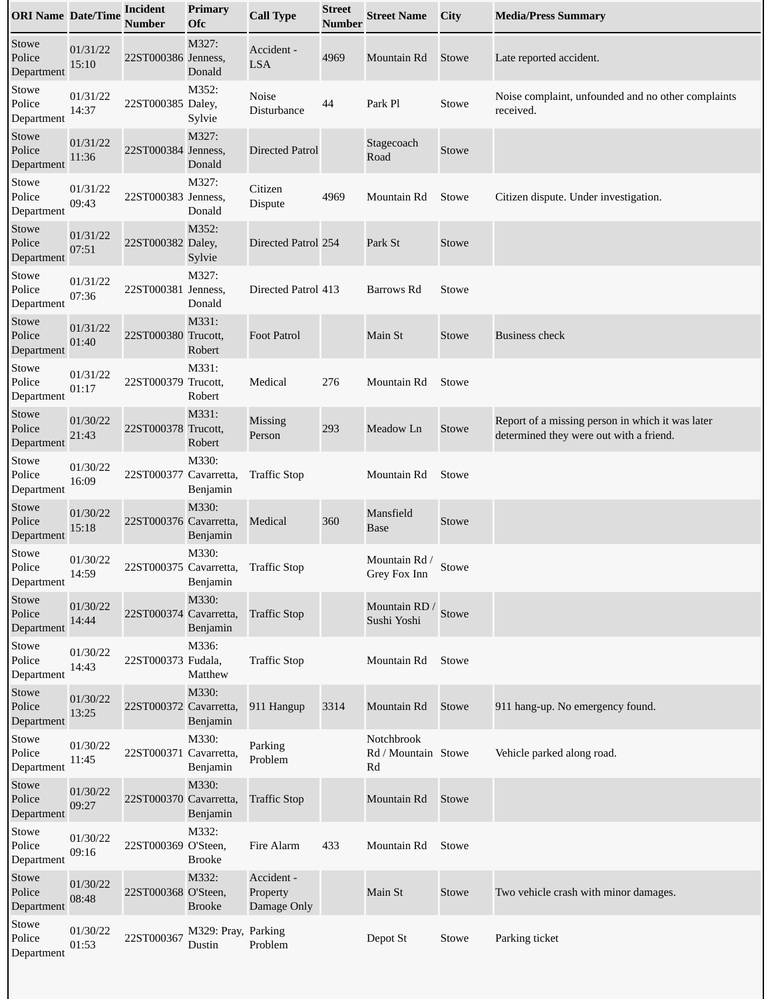| <b>ORI Name Date/Time</b>     |                   | <b>Incident</b><br>Number | <b>Primary</b><br><b>Ofc</b>  | <b>Call Type</b>                      | <b>Street</b><br>Number | <b>Street Name</b>                      | <b>City</b>  | <b>Media/Press Summary</b>                                                                  |
|-------------------------------|-------------------|---------------------------|-------------------------------|---------------------------------------|-------------------------|-----------------------------------------|--------------|---------------------------------------------------------------------------------------------|
| Stowe<br>Police<br>Department | 01/31/22<br>15:10 | 22ST000386 Jenness,       | M327:<br>Donald               | Accident -<br><b>LSA</b>              | 4969                    | Mountain Rd                             | Stowe        | Late reported accident.                                                                     |
| Stowe<br>Police<br>Department | 01/31/22<br>14:37 | 22ST000385 Daley,         | M352:<br>Sylvie               | Noise<br>Disturbance                  | 44                      | Park Pl                                 | Stowe        | Noise complaint, unfounded and no other complaints<br>received.                             |
| Stowe<br>Police<br>Department | 01/31/22<br>11:36 | 22ST000384 Jenness,       | M327:<br>Donald               | <b>Directed Patrol</b>                |                         | Stagecoach<br>Road                      | Stowe        |                                                                                             |
| Stowe<br>Police<br>Department | 01/31/22<br>09:43 | 22ST000383 Jenness,       | M327:<br>Donald               | Citizen<br><b>Dispute</b>             | 4969                    | Mountain Rd                             | Stowe        | Citizen dispute. Under investigation.                                                       |
| Stowe<br>Police<br>Department | 01/31/22<br>07:51 | 22ST000382 Daley,         | M352:<br>Sylvie               | Directed Patrol 254                   |                         | Park St                                 | Stowe        |                                                                                             |
| Stowe<br>Police<br>Department | 01/31/22<br>07:36 | 22ST000381 Jenness,       | M327:<br>Donald               | Directed Patrol 413                   |                         | Barrows Rd                              | Stowe        |                                                                                             |
| Stowe<br>Police<br>Department | 01/31/22<br>01:40 | 22ST000380 Trucott,       | M331:<br>Robert               | <b>Foot Patrol</b>                    |                         | Main St                                 | Stowe        | <b>Business check</b>                                                                       |
| Stowe<br>Police<br>Department | 01/31/22<br>01:17 | 22ST000379 Trucott,       | M331:<br>Robert               | Medical                               | 276                     | Mountain Rd                             | <b>Stowe</b> |                                                                                             |
| Stowe<br>Police<br>Department | 01/30/22<br>21:43 | 22ST000378 Trucott,       | M331:<br>Robert               | Missing<br>Person                     | 293                     | Meadow Ln                               | Stowe        | Report of a missing person in which it was later<br>determined they were out with a friend. |
| Stowe<br>Police<br>Department | 01/30/22<br>16:09 | 22ST000377 Cavarretta,    | M330:<br>Benjamin             | <b>Traffic Stop</b>                   |                         | Mountain Rd                             | Stowe        |                                                                                             |
| Stowe<br>Police<br>Department | 01/30/22<br>15:18 | 22ST000376 Cavarretta,    | M330:<br>Benjamin             | Medical                               | 360                     | Mansfield<br><b>Base</b>                | Stowe        |                                                                                             |
| Stowe<br>Police<br>Department | 01/30/22<br>14:59 | 22ST000375 Cavarretta,    | M330:<br>Benjamin             | <b>Traffic Stop</b>                   |                         | Mountain Rd /<br>Grey Fox Inn           | Stowe        |                                                                                             |
| Stowe<br>Police<br>Department | 01/30/22<br>14:44 | 22ST000374 Cavarretta,    | M330:<br>Benjamin             | <b>Traffic Stop</b>                   |                         | Mountain RD / Stowe<br>Sushi Yoshi      |              |                                                                                             |
| Stowe<br>Police<br>Department | 01/30/22<br>14:43 | 22ST000373 Fudala,        | M336:<br>Matthew              | <b>Traffic Stop</b>                   |                         | Mountain Rd                             | Stowe        |                                                                                             |
| Stowe<br>Police<br>Department | 01/30/22<br>13:25 | 22ST000372 Cavarretta,    | M330:<br>Benjamin             | 911 Hangup                            | 3314                    | Mountain Rd                             | Stowe        | 911 hang-up. No emergency found.                                                            |
| Stowe<br>Police<br>Department | 01/30/22<br>11:45 | 22ST000371 Cavarretta,    | M330:<br>Benjamin             | Parking<br>Problem                    |                         | Notchbrook<br>Rd / Mountain Stowe<br>Rd |              | Vehicle parked along road.                                                                  |
| Stowe<br>Police<br>Department | 01/30/22<br>09:27 | 22ST000370 Cavarretta,    | M330:<br>Benjamin             | <b>Traffic Stop</b>                   |                         | Mountain Rd                             | Stowe        |                                                                                             |
| Stowe<br>Police<br>Department | 01/30/22<br>09:16 | 22ST000369 O'Steen,       | M332:<br><b>Brooke</b>        | Fire Alarm                            | 433                     | Mountain Rd                             | Stowe        |                                                                                             |
| Stowe<br>Police<br>Department | 01/30/22<br>08:48 | 22ST000368 O'Steen,       | M332:<br><b>Brooke</b>        | Accident -<br>Property<br>Damage Only |                         | Main St                                 | Stowe        | Two vehicle crash with minor damages.                                                       |
| Stowe<br>Police<br>Department | 01/30/22<br>01:53 | 22ST000367                | M329: Pray, Parking<br>Dustin | Problem                               |                         | Depot St                                | Stowe        | Parking ticket                                                                              |